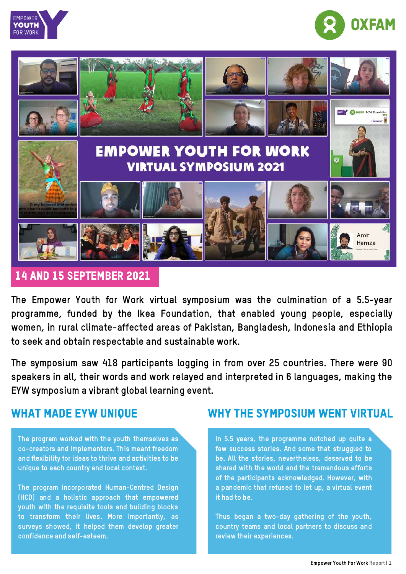





### 14 and 15 September 2021

The Empower Youth for Work virtual symposium was the culmination of a 5.5-year programme, funded by the Ikea Foundation, that enabled young people, especially women, in rural climate-affected areas of Pakistan, Bangladesh, Indonesia and Ethiopia to seek and obtain respectable and sustainable work.

The symposium saw 418 participants logging in from over 25 countries. There were 90 speakers in all, their words and work relayed and interpreted in 6 languages, making the EYW symposium a vibrant global learning event.

## WHAT MADE EYW UNIQUE

The program worked with the youth themselves as co-creators and implementers. This meant freedom and flexibility for ideas to thrive and activities to be unique to each country and local context.

The program incorporated Human-Centred Design (HCD) and a holistic approach that empowered youth with the requisite tools and building blocks to transform their lives. More importantly, as surveys showed, it helped them develop greater confidence and self-esteem.

### WHY THE SYMPOSIUM WENT VIRTUAL

In 5.5 years, the programme notched up quite a few success stories. And some that struggled to be. All the stories, nevertheless, deserved to be shared with the world and the tremendous efforts of the participants acknowledged. However, with a pandemic that refused to let up, a virtual event it had to be.

Thus began a two-day gathering of the youth, country teams and local partners to discuss and review their experiences.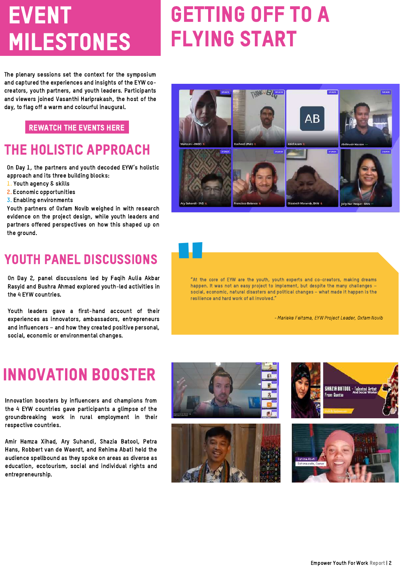# **EVENT** milestones

# **GETTING OFF TO A** Flying Start

The plenary sessions set the context for the symposium and captured the experiences and insights of the EYW cocreators, youth partners, and youth leaders. Participants and viewers joined Vasanthi Hariprakash, the host of the day, to flag off a warm and colourful inaugural.

#### [rewatch](https://www.empoweryouthforwork.org/symposium-2021/rewatch-the-symposium/) the Events here

## THe holistic approach

On Day 1, the partners and youth decoded EYW's holistic approach and its three building blocks:

- 1. Youth agency & skills
- 2. Economic opportunities
- 3. Enabling environments

Youth partners of Oxfam Novib weighed in with research evidence on the project design, while youth leaders and partners offered perspectives on how this shaped up on the ground.



On Day 2, panel discussions led by Faqih Aulia Akbar Rasyid and Bushra Ahmad explored youth-led activities in the 4 EYW countries.

Youth leaders gave a first-hand account of their experiences as innovators, ambassadors, entrepreneurs and influencers – and how they created positive personal, social, economic or environmental changes.



"At the core of EYW are the youth, youth experts and co-creators, making dreams happen. It was not an easy project to implement, but despite the many challenges – social, economic, natural disasters and political changes – what made it happen is the resilience and hard work of all involved."

- Marieke Feitsma, EYW Project Leader, Oxfam Novib

## innovation booster

Innovation boosters by influencers and champions from the 4 EYW countries gave participants a glimpse of the groundbreaking work in rural employment in their respective countries.

Amir Hamza Xihad, Ary Suhandi, Shazia Batool, Petra Hans, Robbert van de Waerdt, and Rehima Abati held the audience spellbound as they spoke on areas as diverse as education, ecotourism, social and individual rights and entrepreneurship.







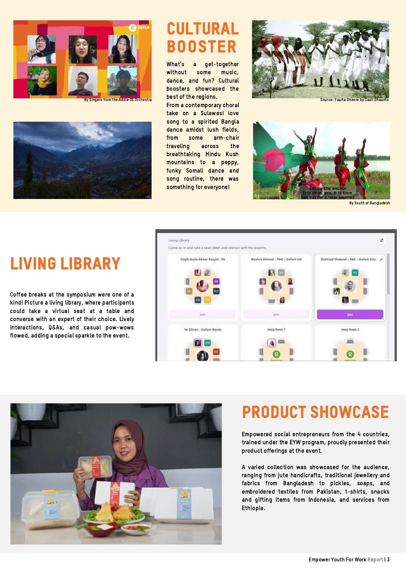



## **CULTURAL BOOSTER**

What's a get-together without some music, dance, and fun? Cultural boosters showcased the best of the regions. By Singers from the Addie OS Orchestra **DUCT OF CHA INTERNATION Source: Yaarta Dheere by Caa** 

From a contemporary choral take on a Sulawesi love song to a spirited Bangla dance amidst lush fields, from some arm-chair traveling across the breathtaking Hindu Kush mountains to a peppy, funky Somali dance and song routine, there was something for everyone!





By Youth of Bangladesh

#### Living Library ÷ Come on in and take a seat! Meet and interact with the experts Living library Fagih Aulia Akbar Rasvid - IN Bushira Ahmad - PAK - Oxfam UK Shahrad Shakeel - PAK - Oxfam Ince Coffee breaks at the symposium were one of a kind! Picture a living library, where participants could take a virtual seat at a table and converse with an expert of their choice. Lively interactions, Q&As, and casual pow-wows Ye Zihren - Oxfam Novi Halp Desk Help Desk 2 flowed, adding a special sparkle to the event.



## Product SHOWCASE

Empowered social entrepreneurs from the 4 countries, trained under the EYW program, proudly presented their product offerings at the event.

A varied collection was showcased for the audience, ranging from jute handicrafts, traditional jewellery and fabrics from Bangladesh to pickles, soaps, and embroidered textiles from Pakistan, t-shirts, snacks and gifting items from Indonesia, and services from Ethiopia.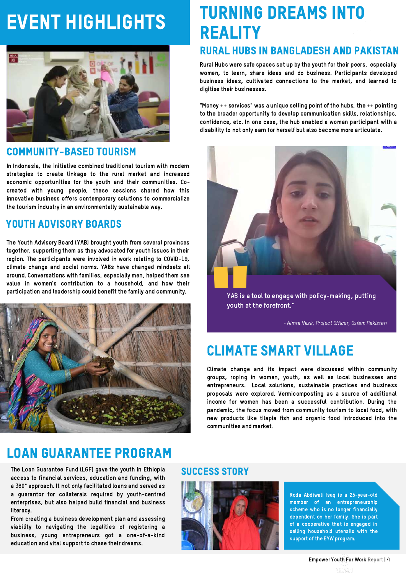# EVENT HIGHLIGHTS



#### Community-based tourism

In Indonesia, the initiative combined traditional tourism with modern strategies to create linkage to the rural market and increased economic opportunities for the youth and their communities. Cocreated with young people, these sessions shared how this innovative business offers contemporary solutions to commercialize the tourism industry in an environmentally sustainable way.

### YOUTH ADVISORY BOARDS

The Youth Advisory Board (YAB) brought youth from several provinces together, supporting them as they advocated for youth issues in their region. The participants were involved in work relating to COVID-19, climate change and social norms. YABs have changed mindsets all around. Conversations with families, especially men, helped them see value in women's contribution to a household, and how their participation and leadership could benefit the family and community.



## Loan Guarantee program

The Loan Guarantee Fund (LGF) gave the youth in Ethiopia access to financial services, education and funding, with <sup>a</sup> <sup>360</sup>° approach. It not only facilitated loans and served as a guarantor for collaterals required by youth-centred enterprises, but also helped build financial and business literacy.

From creating a business development plan and assessing viability to navigating the legalities of registering a business, young entrepreneurs got a one-of-a-kind education and vital support to chase their dreams.

# turning dreams into **REALITY**

### Rural Hubs in Bangladesh and Pakistan

Rural Hubs were safe spaces set up by the youth for their peers, especially women, to learn, share ideas and do business. Participants developed business ideas, cultivated connections to the market, and learned to digitise their businesses.

"Money ++ services" was a unique selling point of the hubs, the ++ pointing to the broader opportunity to develop communication skills, relationships, confidence, etc. In one case, the hub enabled a woman participant with a disability to not only earn for herself but also become more articulate.



YAB is a tool to engage with policy-making, putting youth at the forefront."

- Nimra Nazir, Project Officer, Oxfam Pakistan

## climate smart village

Climate change and its impact were discussed within community groups, roping in women, youth, as well as local businesses and entrepreneurs. Local solutions, sustainable practices and business proposals were explored. Vermicomposting as a source of additional income for women has been a successful contribution. During the pandemic, the focus moved from community tourism to local food, with new products like tilapia fish and organic food introduced into the communities and market.

#### success story



Roda Abdiwali Isaq is a 25-year-old member of an entrepreneurship scheme who is no longer financially dependent on her family. She is part of a cooperative that is engaged in selling household utensils with the support of the EYW program.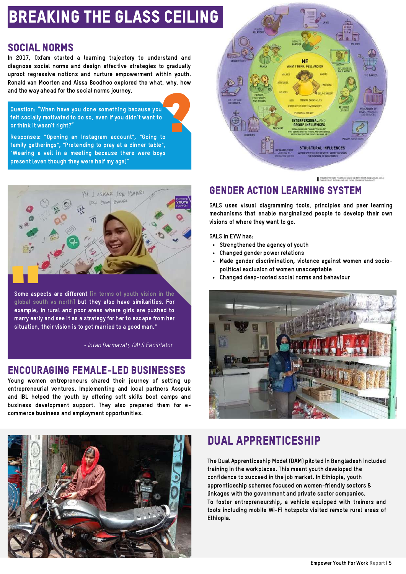## Breaking the glass ceiling

### Social Norms

In 2017, Oxfam started a learning trajectory to understand and diagnose social norms and design effective strategies to gradually uproot regressive notions and nurture empowerment within youth. Ronald van Moorten and Aissa Boodhoo explored the what, why, how and the way ahead for the social norms journey. ?

Question: "When have you done something because you felt socially motivated to do so, even if you didn't want to or think it wasn't right?"

Responses: "Opening an Instagram account", "Going to family gatherings", "Pretending to pray at a dinner table", "Wearing a veil in a meeting because there were boys present (even though they were half my age)"



Some aspects<br>
global south<br>
example, in ru<br>
marry early an Some aspects are different [in terms of youth vision in the global south vs north] but they also have similarities. For example, in rural and poor areas where girls are pushed to marry early and see it as a strategy for her to escape from her situation, their vision is to get married to a good man."

- Intan Darmavati, GALS Facilitator

## Encouraging female-LED businesses

Young women entrepreneurs shared their journey of setting up entrepreneurial ventures. Implementing and local partners Asspuk and IBL helped the youth by offering soft skills boot camps and business development support. They also prepared them for ecommerce business and employment opportunities.





THIS GREPHIC WAS PRODUCED BASED ON IMPUT FROM CARLOS AREA

## Gender Action Learning System

GALS uses visual diagramming tools, principles and peer learning mechanisms that enable marginalized people to develop their own visions of where they want to go.

GALS in EYW has:

- Strengthened the agency of youth
- $\bullet$ Changed gender power relations
- Made gender discrimination, violence against women and socio- $\bullet$ political exclusion of women unacceptable
- Changed deep-rooted social norms and behaviour



## dual apprenticeship

The Dual Apprenticeship Model (DAM) piloted in Bangladesh included training in the workplaces. This meant youth developed the confidence to succeed in the job market. In Ethiopia, youth apprenticeship schemes focused on women-friendly sectors & linkages with the government and private sector companies. To foster entrepreneurship, a vehicle equipped with trainers and tools including mobile Wi-Fi hotspots visited remote rural areas of Ethiopia.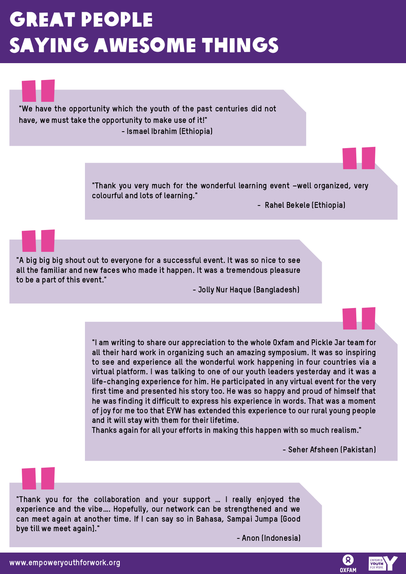# **GREAT PEOPLE** saying awesome things

**We have the**<br>"We have the<br>have, we must "We have the opportunity which the youth of the past centuries did not have, we must take the opportunity to make use of it!" - Ismael Ibrahim (Ethiopia)

" "Thank you very much for the wonderful learning event –well organized, very colourful and lots of learning."

- Rahel Bekele (Ethiopia)

A big big big s<br>all the familiar<br>o be a part of t "A big big big shout out to everyone for a successful event. It was so nice to see all the familiar and new faces who made it happen. It was a tremendous pleasure to be a part of this event."

- Jolly Nur Haque (Bangladesh)

ar team for<br>o inspiring<br>tries via a<br>nd it was a "I am writing to share our appreciation to the whole Oxfam and Pickle Jar team for all their hard work in organizing such an amazing symposium. It was so inspiring to see and experience all the wonderful work happening in four countries via a virtual platform. I was talking to one of our youth leaders yesterday and it was a life-changing experience for him. He participated in any virtual event for the very first time and presented his story too. He was so happy and proud of himself that he was finding it difficult to express his experience in words. That was a moment of joy for me too that EYW has extended this experience to our rural young people and it will stay with them for their lifetime.

Thanks again for all your efforts in making this happen with so much realism."

- Seher Afsheen (Pakistan)

Thank you fo<br>"Thank you fo<br>"xperience and<br>"ye till we meet "Thank you for the collaboration and your support … I really enjoyed the experience and the vibe…. Hopefully, our network can be strengthened and we can meet again at another time. If I can say so in Bahasa, Sampai Jumpa [Good bye till we meet again]."

- Anon (Indonesia)

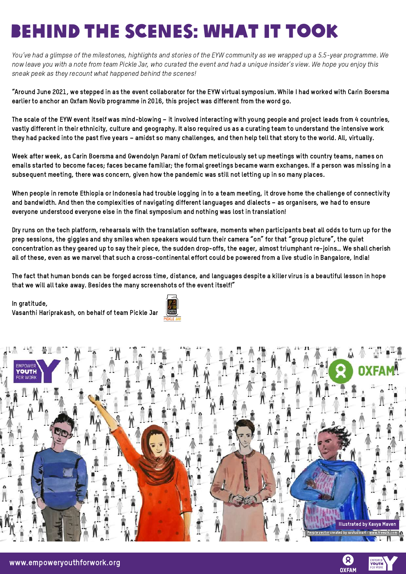# Behind the Scenes: What It Took

You've had a glimpse of the milestones, highlights and stories of the EYW community as we wrapped up a 5.5-year programme. We now leave you with a note from team Pickle Jar, who curated the event and had a unique insider's view. We hope you enjoy this sneak peek as they recount what happened behind the scenes!

"Around June 2021, we stepped in as the event collaborator for the EYW virtual symposium. While I had worked with Carin Boersma earlier to anchor an Oxfam Novib programme in 2016, this project was different from the word go.

The scale of the EYW event itself was mind-blowing – it involved interacting with young people and project leads from 4 countries, vastly different in their ethnicity, culture and geography. It also required us as a curating team to understand the intensive work they had packed into the past five years – amidst so many challenges, and then help tell that story to the world. All, virtually.

Week after week, as Carin Boersma and Gwendolyn Parami of Oxfam meticulously set up meetings with country teams, names on emails started to become faces; faces became familiar; the formal greetings became warm exchanges. If a person was missing in a subsequent meeting, there was concern, given how the pandemic was still not letting up in so many places.

When people in remote Ethiopia or Indonesia had trouble logging in to a team meeting, it drove home the challenge of connectivity and bandwidth. And then the complexities of navigating different languages and dialects – as organisers, we had to ensure everyone understood everyone else in the final symposium and nothing was lost in translation!

Dry runs on the tech platform, rehearsals with the translation software, moments when participants beat all odds to turn up for the prep sessions, the giggles and shy smiles when speakers would turn their camera "on" for that "group picture", the quiet concentration as they geared up to say their piece, the sudden drop-offs, the eager, almost triumphant re-joins… We shall cherish all of these, even as we marvel that such a cross-continental effort could be powered from a live studio in Bangalore, India!

The fact that human bonds can be forged across time, distance, and languages despite a killer virus is a beautiful lesson in hope that we will all take away. Besides the many screenshots of the event itself!"

In gratitude, Vasanthi Hariprakash, on behalf of team Pickle Jar





ହ **OXFAM**